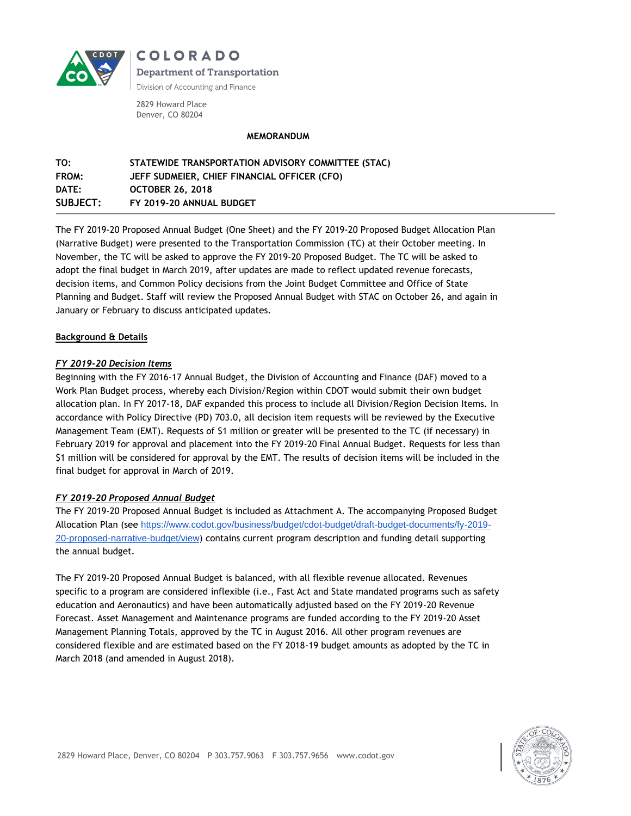

**COLORADO Department of Transportation** Division of Accounting and Finance

2829 Howard Place Denver, CO 80204

### **MEMORANDUM**

| TO:             | STATEWIDE TRANSPORTATION ADVISORY COMMITTEE (STAC) |
|-----------------|----------------------------------------------------|
| FROM:           | JEFF SUDMEIER, CHIEF FINANCIAL OFFICER (CFO)       |
| DATE:           | <b>OCTOBER 26, 2018</b>                            |
| <b>SUBJECT:</b> | FY 2019-20 ANNUAL BUDGET                           |

The FY 2019-20 Proposed Annual Budget (One Sheet) and the FY 2019-20 Proposed Budget Allocation Plan (Narrative Budget) were presented to the Transportation Commission (TC) at their October meeting. In November, the TC will be asked to approve the FY 2019-20 Proposed Budget. The TC will be asked to adopt the final budget in March 2019, after updates are made to reflect updated revenue forecasts, decision items, and Common Policy decisions from the Joint Budget Committee and Office of State Planning and Budget. Staff will review the Proposed Annual Budget with STAC on October 26, and again in January or February to discuss anticipated updates.

# **Background & Details**

# *FY 2019-20 Decision Items*

Beginning with the FY 2016-17 Annual Budget, the Division of Accounting and Finance (DAF) moved to a Work Plan Budget process, whereby each Division/Region within CDOT would submit their own budget allocation plan. In FY 2017-18, DAF expanded this process to include all Division/Region Decision Items. In accordance with Policy Directive (PD) 703.0, all decision item requests will be reviewed by the Executive Management Team (EMT). Requests of \$1 million or greater will be presented to the TC (if necessary) in February 2019 for approval and placement into the FY 2019-20 Final Annual Budget. Requests for less than \$1 million will be considered for approval by the EMT. The results of decision items will be included in the final budget for approval in March of 2019.

# *FY 2019-20 Proposed Annual Budget*

The FY 2019-20 Proposed Annual Budget is included as Attachment A. The accompanying Proposed Budget Allocation Plan (see [https://www.codot.gov/business/budget/cdot-budget/draft-budget-documents/fy-2019-](https://www.codot.gov/business/budget/cdot-budget/draft-budget-documents/fy-2019-20-proposed-narrative-budget/view) [20-proposed-narrative-budget/view](https://www.codot.gov/business/budget/cdot-budget/draft-budget-documents/fy-2019-20-proposed-narrative-budget/view)) contains current program description and funding detail supporting the annual budget.

The FY 2019-20 Proposed Annual Budget is balanced, with all flexible revenue allocated. Revenues specific to a program are considered inflexible (i.e., Fast Act and State mandated programs such as safety education and Aeronautics) and have been automatically adjusted based on the FY 2019-20 Revenue Forecast. Asset Management and Maintenance programs are funded according to the FY 2019-20 Asset Management Planning Totals, approved by the TC in August 2016. All other program revenues are considered flexible and are estimated based on the FY 2018-19 budget amounts as adopted by the TC in March 2018 (and amended in August 2018).